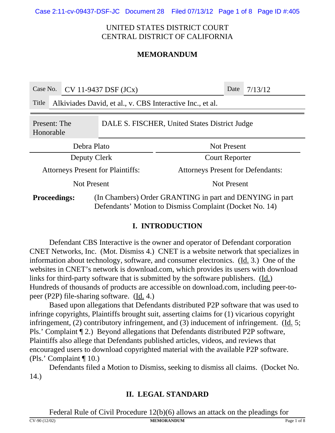Case 2:11-cv-09437-DSF-JC Document 28 Filed 07/13/12 Page 1 of 8 Page ID #:405

## UNITED STATES DISTRICT COURT CENTRAL DISTRICT OF CALIFORNIA

## **MEMORANDUM**

| Case No.                                                                   |                                                           | $CV 11-9437$ DSF $(JCx)$ |                       |                                                                                                                     | Date | 7/13/12 |  |
|----------------------------------------------------------------------------|-----------------------------------------------------------|--------------------------|-----------------------|---------------------------------------------------------------------------------------------------------------------|------|---------|--|
| Title                                                                      | Alkiviades David, et al., v. CBS Interactive Inc., et al. |                          |                       |                                                                                                                     |      |         |  |
| DALE S. FISCHER, United States District Judge<br>Present: The<br>Honorable |                                                           |                          |                       |                                                                                                                     |      |         |  |
| Debra Plato                                                                |                                                           |                          |                       | <b>Not Present</b>                                                                                                  |      |         |  |
| Deputy Clerk                                                               |                                                           |                          | <b>Court Reporter</b> |                                                                                                                     |      |         |  |
| <b>Attorneys Present for Plaintiffs:</b>                                   |                                                           |                          |                       | <b>Attorneys Present for Defendants:</b>                                                                            |      |         |  |
| <b>Not Present</b>                                                         |                                                           |                          | <b>Not Present</b>    |                                                                                                                     |      |         |  |
| <b>Proceedings:</b>                                                        |                                                           |                          |                       | (In Chambers) Order GRANTING in part and DENYING in part<br>Defendants' Motion to Dismiss Complaint (Docket No. 14) |      |         |  |

## **I. INTRODUCTION**

Defendant CBS Interactive is the owner and operator of Defendant corporation CNET Networks, Inc. (Mot. Dismiss 4.) CNET is a website network that specializes in information about technology, software, and consumer electronics. (Id. 3.) One of the websites in CNET's network is download.com, which provides its users with download links for third-party software that is submitted by the software publishers. (Id.) Hundreds of thousands of products are accessible on download.com, including peer-topeer (P2P) file-sharing software. (Id. 4.)

Based upon allegations that Defendants distributed P2P software that was used to infringe copyrights, Plaintiffs brought suit, asserting claims for (1) vicarious copyright infringement, (2) contributory infringement, and (3) inducement of infringement. (Id. 5; Pls.' Complaint ¶ 2.) Beyond allegations that Defendants distributed P2P software, Plaintiffs also allege that Defendants published articles, videos, and reviews that encouraged users to download copyrighted material with the available P2P software. (Pls.' Complaint ¶ 10.)

Defendants filed a Motion to Dismiss, seeking to dismiss all claims. (Docket No. 14.)

# **II. LEGAL STANDARD**

Federal Rule of Civil Procedure 12(b)(6) allows an attack on the pleadings for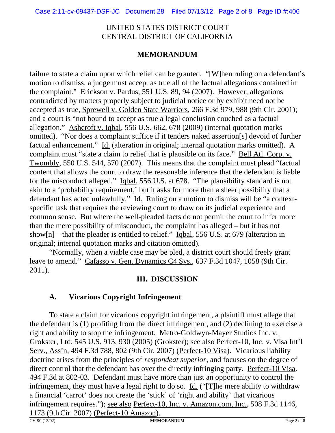## **MEMORANDUM**

failure to state a claim upon which relief can be granted. "[W]hen ruling on a defendant's motion to dismiss, a judge must accept as true all of the factual allegations contained in the complaint." Erickson v. Pardus, 551 U.S. 89, 94 (2007). However, allegations contradicted by matters properly subject to judicial notice or by exhibit need not be accepted as true, Sprewell v. Golden State Warriors, 266 F.3d 979, 988 (9th Cir. 2001); and a court is "not bound to accept as true a legal conclusion couched as a factual allegation." Ashcroft v. Iqbal, 556 U.S. 662, 678 (2009) (internal quotation marks omitted). "Nor does a complaint suffice if it tenders naked assertion[s] devoid of further factual enhancement." Id. (alteration in original; internal quotation marks omitted). A complaint must "state a claim to relief that is plausible on its face." Bell Atl. Corp. v. Twombly, 550 U.S. 544, 570 (2007). This means that the complaint must plead "factual content that allows the court to draw the reasonable inference that the defendant is liable for the misconduct alleged." Igbal, 556 U.S. at 678. "The plausibility standard is not akin to a 'probability requirement,' but it asks for more than a sheer possibility that a defendant has acted unlawfully." Id. Ruling on a motion to dismiss will be "a contextspecific task that requires the reviewing court to draw on its judicial experience and common sense. But where the well-pleaded facts do not permit the court to infer more than the mere possibility of misconduct, the complaint has alleged – but it has not show[n] – that the pleader is entitled to relief." Iqbal, 556 U.S. at 679 (alteration in original; internal quotation marks and citation omitted).

"Normally, when a viable case may be pled, a district court should freely grant leave to amend." Cafasso v. Gen. Dynamics C4 Sys., 637 F.3d 1047, 1058 (9th Cir. 2011).

## **III. DISCUSSION**

# **A. Vicarious Copyright Infringement**

To state a claim for vicarious copyright infringement, a plaintiff must allege that the defendant is (1) profiting from the direct infringement, and (2) declining to exercise a right and ability to stop the infringement. Metro-Goldwyn-Mayer Studios Inc. v. Grokster, Ltd. 545 U.S. 913, 930 (2005) (Grokster); see also Perfect-10, Inc. v. Visa Int'l Serv., Ass'n, 494 F.3d 788, 802 (9th Cir. 2007) (Perfect-10 Visa). Vicarious liability doctrine arises from the principles of *respondeat superior*, and focuses on the degree of direct control that the defendant has over the directly infringing party. Perfect-10 Visa, 494 F.3d at 802-03. Defendant must have more than just an opportunity to control the infringement, they must have a legal right to do so. Id. (" $[T]$ ) he mere ability to withdraw a financial 'carrot' does not create the 'stick' of 'right and ability' that vicarious infringement requires."); <u>see also Perfect-10, Inc. v. Amazon.com, Inc.</u>, 508 F.3d 1146,  $\frac{1173}{(x^{190}(12/02))}$  (Perfect-10 Amazon).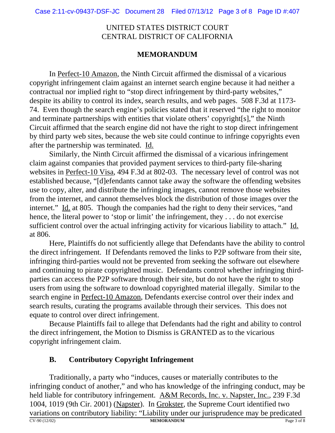## **MEMORANDUM**

In Perfect-10 Amazon, the Ninth Circuit affirmed the dismissal of a vicarious copyright infringement claim against an internet search engine because it had neither a contractual nor implied right to "stop direct infringement by third-party websites," despite its ability to control its index, search results, and web pages. 508 F.3d at 1173- 74. Even though the search engine's policies stated that it reserved "the right to monitor and terminate partnerships with entities that violate others' copyright[s]," the Ninth Circuit affirmed that the search engine did not have the right to stop direct infringement by third party web sites, because the web site could continue to infringe copyrights even after the partnership was terminated. Id.

Similarly, the Ninth Circuit affirmed the dismissal of a vicarious infringement claim against companies that provided payment services to third-party file-sharing websites in Perfect-10 Visa, 494 F.3d at 802-03. The necessary level of control was not established because, "[d]efendants cannot take away the software the offending websites use to copy, alter, and distribute the infringing images, cannot remove those websites from the internet, and cannot themselves block the distribution of those images over the internet." Id. at 805. Though the companies had the right to deny their services, "and hence, the literal power to 'stop or limit' the infringement, they . . . do not exercise sufficient control over the actual infringing activity for vicarious liability to attach." Id. at 806.

Here, Plaintiffs do not sufficiently allege that Defendants have the ability to control the direct infringement. If Defendants removed the links to P2P software from their site, infringing third-parties would not be prevented from seeking the software out elsewhere and continuing to pirate copyrighted music. Defendants control whether infringing thirdparties can access the P2P software through their site, but do not have the right to stop users from using the software to download copyrighted material illegally. Similar to the search engine in Perfect-10 Amazon, Defendants exercise control over their index and search results, curating the programs available through their services. This does not equate to control over direct infringement.

Because Plaintiffs fail to allege that Defendants had the right and ability to control the direct infringement, the Motion to Dismiss is GRANTED as to the vicarious copyright infringement claim.

# **B. Contributory Copyright Infringement**

Traditionally, a party who "induces, causes or materially contributes to the infringing conduct of another," and who has knowledge of the infringing conduct, may be held liable for contributory infringement. A&M Records, Inc. v. Napster, Inc., 239 F.3d 1004, 1019 (9th Cir. 2001) (Napster). In Grokster, the Supreme Court identified two variations on contributory liability: "Liability under our jurisprudence may be predicated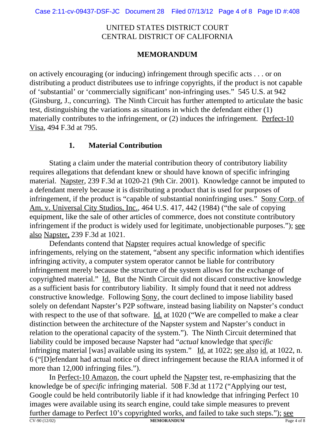# **MEMORANDUM**

on actively encouraging (or inducing) infringement through specific acts . . . or on distributing a product distributees use to infringe copyrights, if the product is not capable of 'substantial' or 'commercially significant' non-infringing uses." 545 U.S. at 942 (Ginsburg, J., concurring). The Ninth Circuit has further attempted to articulate the basic test, distinguishing the variations as situations in which the defendant either (1) materially contributes to the infringement, or (2) induces the infringement. Perfect-10 Visa, 494 F.3d at 795.

## **1. Material Contribution**

Stating a claim under the material contribution theory of contributory liability requires allegations that defendant knew or should have known of specific infringing material. Napster, 239 F.3d at 1020-21 (9th Cir. 2001). Knowledge cannot be imputed to a defendant merely because it is distributing a product that is used for purposes of infringement, if the product is "capable of substantial noninfringing uses." Sony Corp. of Am. v. Universal City Studios, Inc., 464 U.S. 417, 442 (1984) ("the sale of copying equipment, like the sale of other articles of commerce, does not constitute contributory infringement if the product is widely used for legitimate, unobjectionable purposes."); see also Napster, 239 F.3d at 1021.

Defendants contend that Napster requires actual knowledge of specific infringements, relying on the statement, "absent any specific information which identifies infringing activity, a computer system operator cannot be liable for contributory infringement merely because the structure of the system allows for the exchange of copyrighted material." Id. But the Ninth Circuit did not discard constructive knowledge as a sufficient basis for contributory liability. It simply found that it need not address constructive knowledge. Following Sony, the court declined to impose liability based solely on defendant Napster's P2P software, instead basing liability on Napster's conduct with respect to the use of that software. Id. at 1020 ("We are compelled to make a clear distinction between the architecture of the Napster system and Napster's conduct in relation to the operational capacity of the system."). The Ninth Circuit determined that liability could be imposed because Napster had "*actual* knowledge that *specific* infringing material [was] available using its system." Id. at 1022; see also id. at 1022, n. 6 ("[D]efendant had actual notice of direct infringement because the RIAA informed it of more than 12,000 infringing files.").

In Perfect-10 Amazon, the court upheld the Napster test, re-emphasizing that the knowledge be of *specific* infringing material. 508 F.3d at 1172 ("Applying our test, Google could be held contributorily liable if it had knowledge that infringing Perfect 10 images were available using its search engine, could take simple measures to prevent further damage to Perfect 10's copyrighted works, and failed to take such steps."); see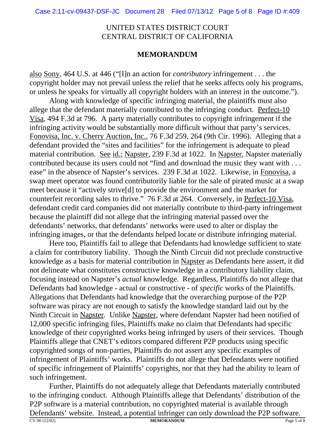### **MEMORANDUM**

also Sony, 464 U.S. at 446 ("[I]n an action for *contributory* infringement . . . the copyright holder may not prevail unless the relief that he seeks affects only his programs, or unless he speaks for virtually all copyright holders with an interest in the outcome.").

Along with knowledge of specific infringing material, the plaintiffs must also allege that the defendant materially contributed to the infringing conduct. Perfect-10 Visa, 494 F.3d at 796. A party materially contributes to copyright infringement if the infringing activity would be substantially more difficult without that party's services. Fonovisa, Inc. v. Cherry Auction, Inc., 76 F.3d 259, 264 (9th Cir. 1996). Alleging that a defendant provided the "sites and facilities" for the infringement is adequate to plead material contribution. See id.; Napster, 239 F.3d at 1022. In Napster, Napster materially contributed because its users could not "find and download the music they want with . . . ease" in the absence of Napster's services. 239 F.3d at 1022. Likewise, in Fonovisa, a swap meet operator was found contributorily liable for the sale of pirated music at a swap meet because it "actively strive[d] to provide the environment and the market for counterfeit recording sales to thrive." 76 F.3d at 264. Conversely, in Perfect-10 Visa, defendant credit card companies did not materially contribute to third-party infringement because the plaintiff did not allege that the infringing material passed over the defendants' networks, that defendants' networks were used to alter or display the infringing images, or that the defendants helped locate or distribute infringing material.

Here too, Plaintiffs fail to allege that Defendants had knowledge sufficient to state a claim for contributory liability. Though the Ninth Circuit did not preclude constructive knowledge as a basis for material contribution in Napster as Defendants here assert, it did not delineate what constitutes constructive knowledge in a contributory liability claim, focusing instead on Napster's *actual* knowledge. Regardless, Plaintiffs do not allege that Defendants had knowledge - actual or constructive - of *specific* works of the Plaintiffs. Allegations that Defendants had knowledge that the overarching purpose of the P2P software was piracy are not enough to satisfy the knowledge standard laid out by the Ninth Circuit in Napster. Unlike Napster, where defendant Napster had been notified of 12,000 specific infringing files, Plaintiffs make no claim that Defendants had specific knowledge of their copyrighted works being infringed by users of their services. Though Plaintiffs allege that CNET's editors compared different P2P products using specific copyrighted songs of non-parties, Plaintiffs do not assert any specific examples of infringement of Plaintiffs' works. Plaintiffs do not allege that Defendants were notified of specific infringement of Plaintiffs' copyrights, nor that they had the ability to learn of such infringement.

Further, Plaintiffs do not adequately allege that Defendants materially contributed to the infringing conduct. Although Plaintiffs allege that Defendants' distribution of the P2P software is a material contribution, no copyrighted material is available through Defendants' website. Instead, a potential infringer can only download the P2P software. CV-90 (12/02) **MEMORANDUM** Page 5 of 8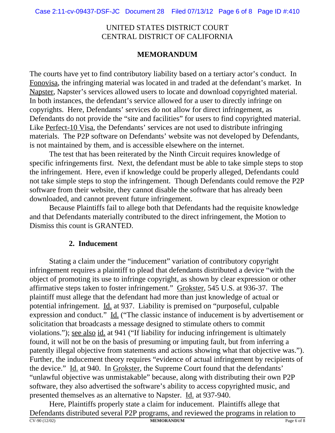## **MEMORANDUM**

The courts have yet to find contributory liability based on a tertiary actor's conduct. In Fonovisa, the infringing material was located in and traded at the defendant's market. In Napster, Napster's services allowed users to locate and download copyrighted material. In both instances, the defendant's service allowed for a user to directly infringe on copyrights. Here, Defendants' services do not allow for direct infringement, as Defendants do not provide the "site and facilities" for users to find copyrighted material. Like Perfect-10 Visa, the Defendants' services are not used to distribute infringing materials. The P2P software on Defendants' website was not developed by Defendants, is not maintained by them, and is accessible elsewhere on the internet.

The test that has been reiterated by the Ninth Circuit requires knowledge of specific infringements first. Next, the defendant must be able to take simple steps to stop the infringement. Here, even if knowledge could be properly alleged, Defendants could not take simple steps to stop the infringement. Though Defendants could remove the P2P software from their website, they cannot disable the software that has already been downloaded, and cannot prevent future infringement.

Because Plaintiffs fail to allege both that Defendants had the requisite knowledge and that Defendants materially contributed to the direct infringement, the Motion to Dismiss this count is GRANTED.

## **2. Inducement**

Stating a claim under the "inducement" variation of contributory copyright infringement requires a plaintiff to plead that defendants distributed a device "with the object of promoting its use to infringe copyright, as shown by clear expression or other affirmative steps taken to foster infringement." Grokster, 545 U.S. at 936-37. The plaintiff must allege that the defendant had more than just knowledge of actual or potential infringement. Id. at 937. Liability is premised on "purposeful, culpable expression and conduct." Id. ("The classic instance of inducement is by advertisement or solicitation that broadcasts a message designed to stimulate others to commit violations."); see also id. at 941 ("If liability for inducing infringement is ultimately found, it will not be on the basis of presuming or imputing fault, but from inferring a patently illegal objective from statements and actions showing what that objective was."). Further, the inducement theory requires "evidence of actual infringement by recipients of the device." Id. at 940. In Grokster, the Supreme Court found that the defendants' "unlawful objective was unmistakable" because, along with distributing their own P2P software, they also advertised the software's ability to access copyrighted music, and presented themselves as an alternative to Napster. Id. at 937-940.

Here, Plaintiffs properly state a claim for inducement. Plaintiffs allege that Defendants distributed several P2P programs, and reviewed the programs in relation to<br>
MEMORANDUM CV-90 (12/02) **MEMORANDUM** Page 6 of 8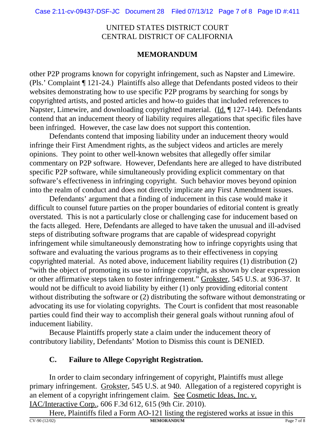## **MEMORANDUM**

other P2P programs known for copyright infringement, such as Napster and Limewire. (Pls.' Complaint ¶ 121-24.) Plaintiffs also allege that Defendants posted videos to their websites demonstrating how to use specific P2P programs by searching for songs by copyrighted artists, and posted articles and how-to guides that included references to Napster, Limewire, and downloading copyrighted material. (Id. ¶ 127-144). Defendants contend that an inducement theory of liability requires allegations that specific files have been infringed. However, the case law does not support this contention.

 Defendants contend that imposing liability under an inducement theory would infringe their First Amendment rights, as the subject videos and articles are merely opinions. They point to other well-known websites that allegedly offer similar commentary on P2P software. However, Defendants here are alleged to have distributed specific P2P software, while simultaneously providing explicit commentary on that software's effectiveness in infringing copyright. Such behavior moves beyond opinion into the realm of conduct and does not directly implicate any First Amendment issues.

Defendants' argument that a finding of inducement in this case would make it difficult to counsel future parties on the proper boundaries of editorial content is greatly overstated. This is not a particularly close or challenging case for inducement based on the facts alleged. Here, Defendants are alleged to have taken the unusual and ill-advised steps of distributing software programs that are capable of widespread copyright infringement while simultaneously demonstrating how to infringe copyrights using that software and evaluating the various programs as to their effectiveness in copying copyrighted material. As noted above, inducement liability requires (1) distribution (2) "with the object of promoting its use to infringe copyright, as shown by clear expression or other affirmative steps taken to foster infringement." Grokster, 545 U.S. at 936-37. It would not be difficult to avoid liability by either (1) only providing editorial content without distributing the software or (2) distributing the software without demonstrating or advocating its use for violating copyrights. The Court is confident that most reasonable parties could find their way to accomplish their general goals without running afoul of inducement liability.

Because Plaintiffs properly state a claim under the inducement theory of contributory liability, Defendants' Motion to Dismiss this count is DENIED.

# **C. Failure to Allege Copyright Registration.**

In order to claim secondary infringement of copyright, Plaintiffs must allege primary infringement. Grokster, 545 U.S. at 940. Allegation of a registered copyright is an element of a copyright infringement claim. See Cosmetic Ideas, Inc. v. IAC/Interactive Corp., 606 F.3d 612, 615 (9th Cir. 2010).

Here, Plaintiffs filed a Form AO-121 listing the registered works at issue in this